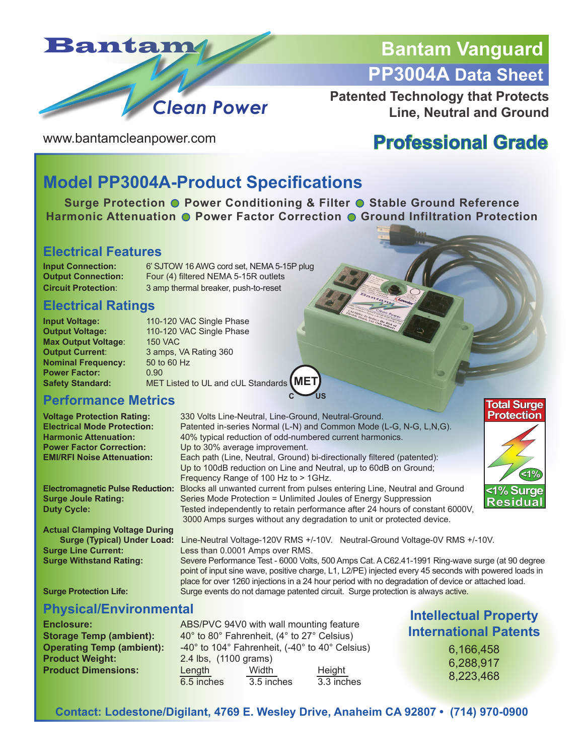

# **Bantam Vanguard PP3004A Data Sheet**

**Patented Technology that Protects Line, Neutral and Ground**

www.bantamcleanpower.com

# **Professional Grade**

### **Model PP3004A-Product Specifications**

**Surge Protection O Power Conditioning & Filter O Stable Ground Reference Harmonic Attenuation O Power Factor Correction O Ground Infiltration Protection** 

#### **Electrical Features**

**Input Connection:** 6' SJTOW 16 AWG cord set, NEMA 5-15P plug **Output Connection:** Four (4) filtered NEMA 5-15R outlets **Circuit Protection**: 3 amp thermal breaker, push-to-reset

#### **Electrical Ratings**

**Max Output Voltage:** 150 VAC<br> **Output Current:** 3 amps, 1 **Nominal Frequency: Power Factor:** 0.90<br> **Safety Standard:** MET

**Input Voltage:** 110-120 VAC Single Phase<br> **Output Voltage:** 110-120 VAC Single Phase 110-120 VAC Single Phase **3 amps, VA Rating 360<br>50 to 60 Hz Safety Standard:** MET Listed to UL and cUL Standards **MET** 

#### **Performance Metrics**

**Actual Clamping Voltage During**

**Voltage Protection Rating:** 330 Volts Line-Neutral, Line-Ground, Neutral-Ground.<br> **Electrical Mode Protection:** Patented in-series Normal (L-N) and Common Mode ( **Electrical Mode Protection:** Patented in-series Normal (L-N) and Common Mode (L-G, N-G, L,N,G).<br> **Harmonic Attenuation:** 40% typical reduction of odd-numbered current harmonics. **Harmonic Attenuation:** 40% typical reduction of odd-numbered current harmonics.<br>**Power Factor Correction:** Up to 30% average improvement. **Power Factor Correction:** Up to 30% average improvement.<br> **EXECURE:** EXECURTE FAIL: Each path (Line. Neutral. Ground) Each path (Line, Neutral, Ground) bi-directionally filtered (patented): Up to 100dB reduction on Line and Neutral, up to 60dB on Ground; Frequency Range of 100 Hz to > 1GHz. **Electromagnetic Pulse Reduction:** Blocks all unwanted current from pulses entering Line, Neutral and Ground **Surge Joule Rating: Series Mode Protection = Unlimited Joules of Energy Suppression**<br>**Duty Cycle: Starting Starting Tested independently to retain performance after 24 hours of const** Tested independently to retain performance after 24 hours of constant 6000V, 3000 Amps surges without any degradation to unit or protected device.

**C US**



**Surge (Typical) Under Load:** Line-Neutral Voltage-120V RMS +/-10V. Neutral-Ground Voltage-0V RMS +/-10V.<br>
Less than 0.0001 Amps over RMS. **Surge Line Current: Less than 0.0001 Amps over RMS.**<br> **Surge Withstand Rating:** Severe Performance Test - 6000 Volts Severe Performance Test - 6000 Volts, 500 Amps Cat. A C62.41-1991 Ring-wave surge (at 90 degree point of input sine wave, positive charge, L1, L2/PE) injected every 45 seconds with powered loads in place for over 1260 injections in a 24 hour period with no degradation of device or attached load.

**Surge Protection Life:** Surge events do not damage patented circuit. Surge protection is always active.

### **Physical/Environmental Intellectual Property**

**Product Weight:** 2.4 lbs, (1100 grams)

**Enclosure: ABS/PVC 94V0 with wall mounting feature Storage Temp (ambient):** 40° to 80° Fahrenheit, (4° to 27° Celsius) **Operating Temp (ambient):** -40° to 104° Fahrenheit, (-40° to 40° Celsius) **Product Dimensions:**  $\frac{\text{Length}}{6.5 \text{ inches}}$  Width Height Height Height Allenes and Height Allenes and Height Allenes and Height Allenes and Height Allenes and Height Allenes and Allenes and Allenes and Allenes and Allenes and  $\overline{6.5}$  inches  $\overline{3.5}$  inches

# **International Patents**

6,166,458 6,288,917 8,223,468

**Contact: Lodestone/Digilant, 4769 E. Wesley Drive, Anaheim CA 92807 • (714) 970-0900**